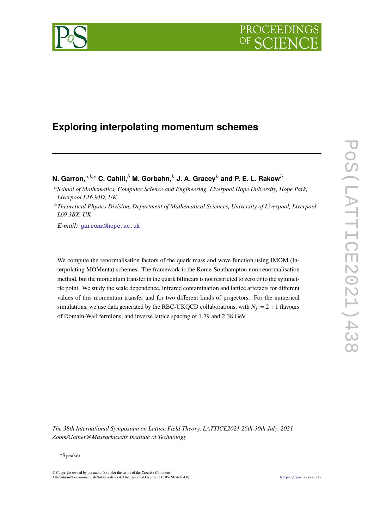

# **Exploring interpolating momentum schemes**

**N. Garron,***a*,*b*,<sup>∗</sup> **C. Cahill,***<sup>b</sup>* **M. Gorbahn,***<sup>b</sup>* **J. A. Gracey***<sup>b</sup>* **and P. E. L. Rakow***<sup>b</sup>*

<sup>a</sup>*School of Mathematics, Computer Science and Engineering, Liverpool Hope University, Hope Park, Liverpool L16 9JD, UK*

<sup>b</sup>*Theoretical Physics Division, Department of Mathematical Sciences, University of Liverpool, Liverpool L69 3BX, UK*

*E-mail:* [garronn@hope.ac.uk](mailto:garronn@hope.ac.uk)

We compute the renormalisation factors of the quark mass and wave function using IMOM (Interpolating MOMenta) schemes. The framework is the Rome-Southampton non-renormalisation method, but the momentum transfer in the quark bilinears is not restricted to zero or to the symmetric point. We study the scale dependence, infrared contamination and lattice artefacts for different values of this momentum transfer and for two different kinds of projectors. For the numerical simulations, we use data generated by the RBC-UKQCD collaborations, with  $N_f = 2 + 1$  flavours of Domain-Wall fermions, and inverse lattice spacing of <sup>1</sup>.<sup>79</sup> and <sup>2</sup>.<sup>38</sup> GeV.

*The 38th International Symposium on Lattice Field Theory, LATTICE2021 26th-30th July, 2021 Zoom/Gather@Massachusetts Institute of Technology*

© Copyright owned by the author(s) under the terms of the Creative Commons Attribution-NonCommercial-NoDerivatives 4.0 International License (CC BY-NC-ND 4.0). <https://pos.sissa.it/>

<sup>∗</sup>Speaker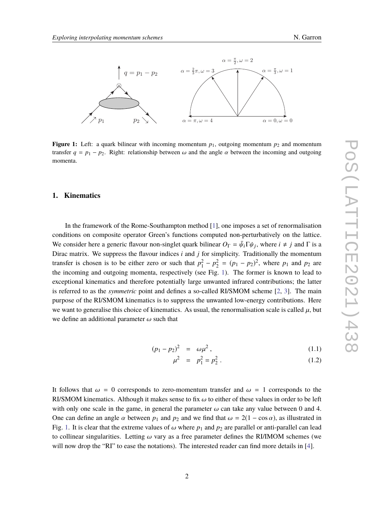

<span id="page-1-0"></span>

**Figure 1:** Left: a quark bilinear with incoming momentum  $p_1$ , outgoing momentum  $p_2$  and momentum transfer  $q = p_1 - p_2$ . Right: relationship between  $\omega$  and the angle  $\alpha$  between the incoming and outgoing momenta.

# **1. Kinematics**

In the framework of the Rome-Southampton method [\[1\]](#page-6-0), one imposes a set of renormalisation conditions on composite operator Green's functions computed non-perturbatively on the lattice. We consider here a generic flavour non-singlet quark bilinear  $O_{\Gamma} = \bar{\psi}_i \Gamma \psi_j$ , where  $i \neq j$  and  $\Gamma$  is a Direct matrix. We suppose the flavour indices *i* and *i* for simplicity. Traditionally the momentum Dirac matrix. We suppress the flavour indices *i* and *j* for simplicity. Traditionally the momentum transfer is chosen is to be either zero or such that  $p_1^2 - p_2^2 = (p_1 - p_2)^2$ , where  $p_1$  and  $p_2$  are the incoming and outgoing momenta, respectively (see Fig. [1\)](#page-1-0). The former is known to lead to exceptional kinematics and therefore potentially large unwanted infrared contributions; the latter is referred to as the *symmetric* point and defines a so-called RI/SMOM scheme [\[2,](#page-6-1) [3\]](#page-6-2). The main purpose of the RI/SMOM kinematics is to suppress the unwanted low-energy contributions. Here we want to generalise this choice of kinematics. As usual, the renormalisation scale is called  $\mu$ , but we define an additional parameter  $\omega$  such that

$$
(p_1 - p_2)^2 = \omega \mu^2, \qquad (1.1)
$$

$$
\mu^2 = p_1^2 = p_2^2 \,. \tag{1.2}
$$

It follows that  $\omega = 0$  corresponds to zero-momentum transfer and  $\omega = 1$  corresponds to the RI/SMOM kinematics. Although it makes sense to fix  $\omega$  to either of these values in order to be left with only one scale in the game, in general the parameter  $\omega$  can take any value between 0 and 4. One can define an angle  $\alpha$  between  $p_1$  and  $p_2$  and we find that  $\omega = 2(1 - \cos \alpha)$ , as illustrated in Fig. [1.](#page-1-0) It is clear that the extreme values of  $\omega$  where  $p_1$  and  $p_2$  are parallel or anti-parallel can lead to collinear singularities. Letting  $\omega$  vary as a free parameter defines the RI/IMOM schemes (we will now drop the "RI" to ease the notations). The interested reader can find more details in [\[4\]](#page-6-3).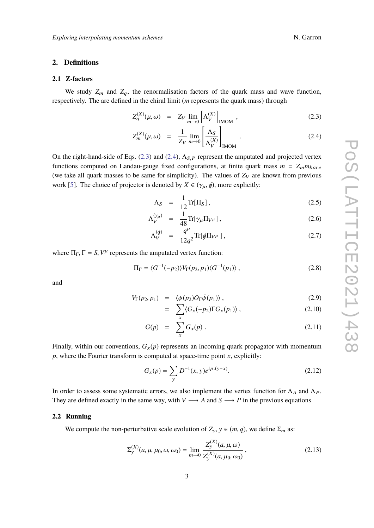# **2. Definitions**

# **2.1 Z-factors**

We study  $Z_m$  and  $Z_q$ , the renormalisation factors of the quark mass and wave function, respectively. The are defined in the chiral limit (*m* represents the quark mass) through

<span id="page-2-0"></span>
$$
Z_q^{(X)}(\mu,\omega) = Z_V \lim_{m \to 0} \left[ \Lambda_V^{(X)} \right]_{\text{IMOM}}, \qquad (2.3)
$$

$$
Z_m^{(X)}(\mu,\omega) = \frac{1}{Z_V} \lim_{m \to 0} \left[ \frac{\Lambda_S}{\Lambda_V^{(X)}} \right]_{\text{IMOM}}.
$$
 (2.4)

On the right-hand-side of Eqs. [\(2.3\)](#page-2-0) and [\(2.4\)](#page-2-0),  $\Lambda_{S,P}$  represent the amputated and projected vertex functions computed on Landau-gauge fixed configurations, at finite quark mass  $m = Z_m m_{bare}$ (we take all quark masses to be same for simplicity). The values of  $Z_V$  are known from previous work [\[5\]](#page-6-4). The choice of projector is denoted by  $X \in (\gamma_{\mu}, \phi)$ , more explicitly:

$$
\Lambda_S = \frac{1}{12} \text{Tr}[\Pi_S], \qquad (2.5)
$$

$$
\Lambda_V^{(\gamma_\mu)} = \frac{1}{48} \text{Tr}[\gamma_\mu \Pi_{V^\mu}], \qquad (2.6)
$$

$$
\Lambda_V^{(q)} = \frac{q^{\mu}}{12q^2} \text{Tr}[q \Pi_{V^{\mu}}], \qquad (2.7)
$$

where  $\Pi_{\Gamma}$ ,  $\Gamma = S$ ,  $V^{\mu}$  represents the amputated vertex function:

$$
\Pi_{\Gamma} = \langle G^{-1}(-p_2) \rangle V_{\Gamma}(p_2, p_1) \langle G^{-1}(p_1) \rangle , \qquad (2.8)
$$

and

$$
V_{\Gamma}(p_2, p_1) = \langle \psi(p_2) O_{\Gamma} \bar{\psi}(p_1) \rangle, \qquad (2.9)
$$

$$
= \sum_{x} \langle G_x(-p_2) \Gamma G_x(p_1) \rangle , \qquad (2.10)
$$

$$
G(p) = \sum_{x} G_x(p). \qquad (2.11)
$$

Finally, within our conventions,  $G_x(p)$  represents an incoming quark propagator with momentum *p*, where the Fourier transform is computed at space-time point *x*, explicitly:

$$
G_x(p) = \sum_{y} D^{-1}(x, y)e^{ip.(y-x)}.
$$
 (2.12)

In order to assess some systematic errors, we also implement the vertex function for  $\Lambda_A$  and  $\Lambda_P$ . They are defined exactly in the same way, with  $V \rightarrow A$  and  $S \rightarrow P$  in the previous equations

### **2.2 Running**

We compute the non-perturbative scale evolution of  $Z_y$ ,  $y \in (m, q)$ , we define  $\Sigma_m$  as:

$$
\Sigma_{\mathcal{Y}}^{(X)}(a,\mu,\mu_0,\omega,\omega_0) = \lim_{m \to 0} \frac{Z_{\mathcal{Y}}^{(X)}(a,\mu,\omega)}{Z_{\mathcal{Y}}^{(X)}(a,\mu_0,\omega_0)},
$$
\n(2.13)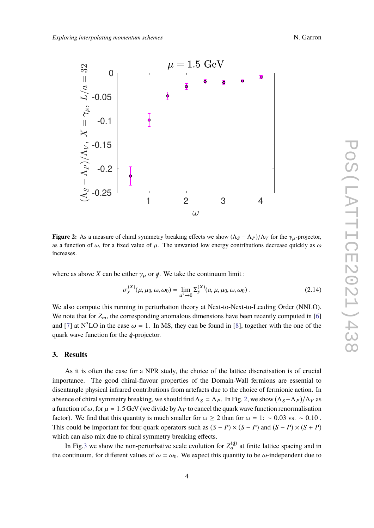<span id="page-3-0"></span>

**Figure 2:** As a measure of chiral symmetry breaking effects we show  $(\Lambda_S - \Lambda_P)/\Lambda_V$  for the  $\gamma_u$ -projector, as a function of  $\omega$ , for a fixed value of  $\mu$ . The unwanted low energy contributions decrease quickly as  $\omega$ increases.

where as above *X* can be either  $\gamma_{\mu}$  or  $\phi$ . We take the continuum limit :

$$
\sigma_{y}^{(X)}(\mu, \mu_0, \omega, \omega_0) = \lim_{a^2 \to 0} \Sigma_{y}^{(X)}(a, \mu, \mu_0, \omega, \omega_0) . \tag{2.14}
$$

We also compute this running in perturbation theory at Next-to-Next-to-Leading Order (NNLO). We note that for  $Z_m$ , the corresponding anomalous dimensions have been recently computed in [\[6\]](#page-6-5) and [\[7\]](#page-6-6) at N<sup>3</sup>LO in the case  $\omega = 1$ . In  $\overline{\text{MS}}$ , they can be found in [\[8\]](#page-6-7), together with the one of the quark wave function for the  $\phi$ -projector.

# **3. Results**

As it is often the case for a NPR study, the choice of the lattice discretisation is of crucial importance. The good chiral-flavour properties of the Domain-Wall fermions are essential to disentangle physical infrared contributions from artefacts due to the choice of fermionic action. In absence of chiral symmetry breaking, we should find  $\Lambda_S = \Lambda_P$ . In Fig. [2,](#page-3-0) we show  $(\Lambda_S - \Lambda_P)/\Lambda_V$  as a function of  $\omega$ , for  $\mu = 1.5$  GeV (we divide by  $\Lambda_V$  to cancel the quark wave function renormalisation factor). We find that this quantity is much smaller for  $\omega \ge 2$  than for  $\omega = 1: \sim 0.03$  vs.  $\sim 0.10$ . This could be important for four-quark operators such as  $(S - P) \times (S - P)$  and  $(S - P) \times (S + P)$ which can also mix due to chiral symmetry breaking effects.

In Fig[.3](#page-4-0) we show the non-perturbative scale evolution for  $Z_q^{(q)}$  at finite lattice spacing and in the continuum, for different values of  $\omega = \omega_0$ . We expect this quantity to be  $\omega$ -independent due to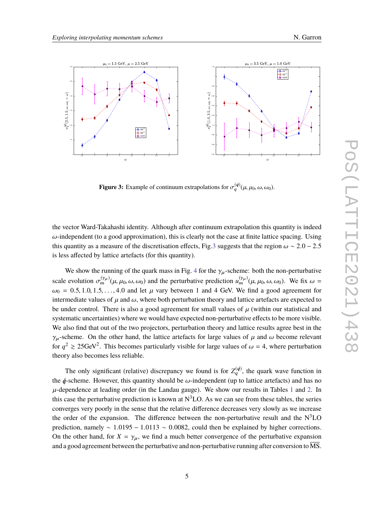<span id="page-4-0"></span>

**Figure 3:** Example of continuum extrapolations for  $\sigma_q^{(d)}(\mu, \mu_0, \omega, \omega_0)$ .

the vector Ward-Takahashi identity. Although after continuum extrapolation this quantity is indeed  $\omega$ -independent (to a good approximation), this is clearly not the case at finite lattice spacing. Using this quantity as a measure of the discretisation effects, Fig[.3](#page-4-0) suggests that the region  $\omega \sim 2.0 - 2.5$ is less affected by lattice artefacts (for this quantity).

We show the running of the quark mass in Fig. [4](#page-7-0) for the  $\gamma_{\mu}$ -scheme: both the non-perturbative scale evolution  $\sigma_m^{(\gamma\mu)}(\mu, \mu_0, \omega, \omega_0)$  and the perturbative prediction  $u_m^{(\gamma\mu)}(\mu, \mu_0, \omega, \omega_0)$ . We fix  $\omega =$  $\omega_0 = 0.5, 1.0, 1.5, \ldots, 4.0$  and let  $\mu$  vary between 1 and 4 GeV. We find a good agreement for intermediate values of  $\mu$  and  $\omega$ , where both perturbation theory and lattice artefacts are expected to be under control. There is also a good agreement for small values of  $\mu$  (within our statistical and systematic uncertainties) where we would have expected non-perturbative effects to be more visible. We also find that out of the two projectors, perturbation theory and lattice results agree best in the  $\gamma_\mu$ -scheme. On the other hand, the lattice artefacts for large values of  $\mu$  and  $\omega$  become relevant for  $q^2 \ge 25 \text{GeV}^2$ . This becomes particularly visible for large values of  $\omega = 4$ , where perturbation theory also becomes less reliable.

The only significant (relative) discrepancy we found is for  $Z_q^{(q)}$ , the quark wave function in the  $\phi$ -scheme. However, this quantity should be  $\omega$ -independent (up to lattice artefacts) and has no  $\mu$ -dependence at leading order (in the Landau gauge). We show our results in Tables [1](#page-5-0) and [2.](#page-5-1) In this case the perturbative prediction is known at  $N<sup>3</sup>$ LO. As we can see from these tables, the series converges very poorly in the sense that the relative difference decreases very slowly as we increase the order of the expansion. The difference between the non-perturbative result and the  $N^3LO$ prediction, namely  $\sim 1.0195 - 1.0113 \sim 0.0082$ , could then be explained by higher corrections. On the other hand, for  $X = \gamma_{\mu}$ , we find a much better convergence of the perturbative expansion and a good agreement between the perturbative and non-perturbative running after conversion to  $\overline{\text{MS}}$ .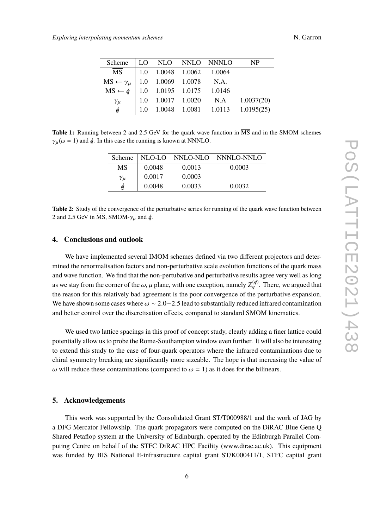<span id="page-5-0"></span>

| Scheme                                                                                                                     |  |                                                                          | LO NLO NNLO NNNLO | <b>NP</b>                             |
|----------------------------------------------------------------------------------------------------------------------------|--|--------------------------------------------------------------------------|-------------------|---------------------------------------|
| <b>MS</b>                                                                                                                  |  | $\begin{array}{ l} \n\vert 1.0 & 1.0048 & 1.0062 & 1.0064 \n\end{array}$ |                   |                                       |
| $\overline{MS} \leftarrow \gamma_{\mu}$ 1.0 1.0069 1.0078 N.A.<br>$\overline{MS} \leftarrow \phi$ 1.0 1.0195 1.0175 1.0146 |  |                                                                          |                   |                                       |
|                                                                                                                            |  |                                                                          |                   |                                       |
| $\gamma_\mu$                                                                                                               |  |                                                                          |                   | 1.0 1.0017 1.0020 N.A 1.0037(20)      |
| $\oint$                                                                                                                    |  |                                                                          |                   | 1.0 $1.0048$ 1.0081 1.0113 1.0195(25) |

<span id="page-5-1"></span>**Table 1:** Running between 2 and 2.5 GeV for the quark wave function in  $\overline{MS}$  and in the SMOM schemes  $\gamma_{\mu}(\omega = 1)$  and  $\oint$ . In this case the running is known at NNNLO.

| Scheme       |        |        | NLO-LO NNLO-NLO NNNLO-NNLO |
|--------------|--------|--------|----------------------------|
| <b>MS</b>    | 0.0048 | 0.0013 | 0.0003                     |
| $\gamma_\mu$ | 0.0017 | 0.0003 |                            |
| a            | 0.0048 | 0.0033 | 0.0032                     |

**Table 2:** Study of the convergence of the perturbative series for running of the quark wave function between 2 and 2.5 GeV in  $\overline{\text{MS}}$ , SMOM- $\gamma_\mu$  and  $\phi$ .

# **4. Conclusions and outlook**

We have implemented several IMOM schemes defined via two different projectors and determined the renormalisation factors and non-perturbative scale evolution functions of the quark mass and wave function. We find that the non-pertubative and perturbative results agree very well as long as we stay from the corner of the  $\omega$ ,  $\mu$  plane, with one exception, namely  $Z_q^{(d)}$ . There, we argued that the necessary for this relatively hed agreement is the necessary constructive averaging the reason for this relatively bad agreement is the poor convergence of the perturbative expansion. We have shown some cases where  $\omega \sim 2.0 - 2.5$  lead to substantially reduced infrared contamination and better control over the discretisation effects, compared to standard SMOM kinematics.

We used two lattice spacings in this proof of concept study, clearly adding a finer lattice could potentially allow us to probe the Rome-Southampton window even further. It will also be interesting to extend this study to the case of four-quark operators where the infrared contaminations due to chiral symmetry breaking are significantly more sizeable. The hope is that increasing the value of ω will reduce these contaminations (compared to  $ω = 1$ ) as it does for the bilinears.

### **5. Acknowledgements**

This work was supported by the Consolidated Grant ST/T000988/1 and the work of JAG by a DFG Mercator Fellowship. The quark propagators were computed on the DiRAC Blue Gene Q Shared Petaflop system at the University of Edinburgh, operated by the Edinburgh Parallel Computing Centre on behalf of the STFC DiRAC HPC Facility (www.dirac.ac.uk). This equipment was funded by BIS National E-infrastructure capital grant ST/K000411/1, STFC capital grant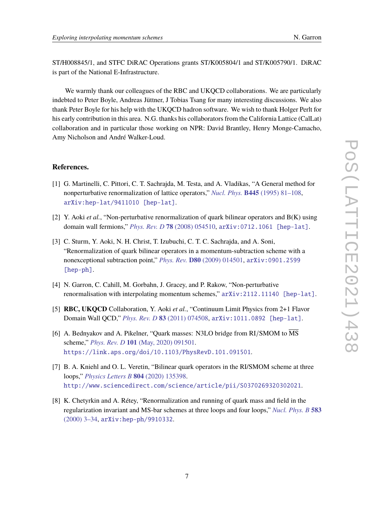ST/H008845/1, and STFC DiRAC Operations grants ST/K005804/1 and ST/K005790/1. DiRAC is part of the National E-Infrastructure.

We warmly thank our colleagues of the RBC and UKQCD collaborations. We are particularly indebted to Peter Boyle, Andreas Jüttner, J Tobias Tsang for many interesting discussions. We also thank Peter Boyle for his help with the UKQCD hadron software. We wish to thank Holger Perlt for his early contribution in this area. N.G. thanks his collaborators from the California Lattice (CalLat) collaboration and in particular those working on NPR: David Brantley, Henry Monge-Camacho, Amy Nicholson and André Walker-Loud.

# **References.**

- <span id="page-6-0"></span>[1] G. Martinelli, C. Pittori, C. T. Sachrajda, M. Testa, and A. Vladikas, "A General method for nonperturbative renormalization of lattice operators," *Nucl. Phys.* **B445** [\(1995\) 81–108,](http://dx.doi.org/10.1016/0550-3213(95)00126-D) [arXiv:hep-lat/9411010 \[hep-lat\]](http://arxiv.org/abs/hep-lat/9411010).
- <span id="page-6-1"></span>[2] Y. Aoki *et al.*, "Non-perturbative renormalization of quark bilinear operators and B(K) using domain wall fermions," *Phys. Rev. D* **78** [\(2008\) 054510,](http://dx.doi.org/10.1103/PhysRevD.78.054510) [arXiv:0712.1061 \[hep-lat\]](http://arxiv.org/abs/0712.1061).
- <span id="page-6-2"></span>[3] C. Sturm, Y. Aoki, N. H. Christ, T. Izubuchi, C. T. C. Sachrajda, and A. Soni, "Renormalization of quark bilinear operators in a momentum-subtraction scheme with a nonexceptional subtraction point," *Phys. Rev.* **D80** [\(2009\) 014501,](http://dx.doi.org/10.1103/PhysRevD.80.014501) [arXiv:0901.2599](http://arxiv.org/abs/0901.2599) [\[hep-ph\]](http://arxiv.org/abs/0901.2599).
- <span id="page-6-3"></span>[4] N. Garron, C. Cahill, M. Gorbahn, J. Gracey, and P. Rakow, "Non-perturbative renormalisation with interpolating momentum schemes," [arXiv:2112.11140 \[hep-lat\]](http://arxiv.org/abs/2112.11140).
- <span id="page-6-4"></span>[5] **RBC, UKQCD** Collaboration, Y. Aoki *et al.*, "Continuum Limit Physics from 2+1 Flavor Domain Wall QCD," *Phys. Rev. D* **83** [\(2011\) 074508,](http://dx.doi.org/10.1103/PhysRevD.83.074508) [arXiv:1011.0892 \[hep-lat\]](http://arxiv.org/abs/1011.0892).
- <span id="page-6-5"></span>[6] A. Bednyakov and A. Pikelner, "Quark masses: N3LO bridge from RI/SMOM to MS scheme," *Phys. Rev. D* **101** [\(May, 2020\) 091501.](http://dx.doi.org/10.1103/PhysRevD.101.091501) <https://link.aps.org/doi/10.1103/PhysRevD.101.091501>.
- <span id="page-6-6"></span>[7] B. A. Kniehl and O. L. Veretin, "Bilinear quark operators in the RI/SMOM scheme at three loops," *[Physics Letters B](http://dx.doi.org/https://doi.org/10.1016/j.physletb.2020.135398)* **804** (2020) 135398. <http://www.sciencedirect.com/science/article/pii/S0370269320302021>.
- <span id="page-6-7"></span>[8] K. Chetyrkin and A. Rétey, "Renormalization and running of quark mass and field in the regularization invariant and MS-bar schemes at three loops and four loops," *[Nucl. Phys. B](http://dx.doi.org/10.1016/S0550-3213(00)00331-X)* **583** [\(2000\) 3–34,](http://dx.doi.org/10.1016/S0550-3213(00)00331-X) [arXiv:hep-ph/9910332](http://arxiv.org/abs/hep-ph/9910332).